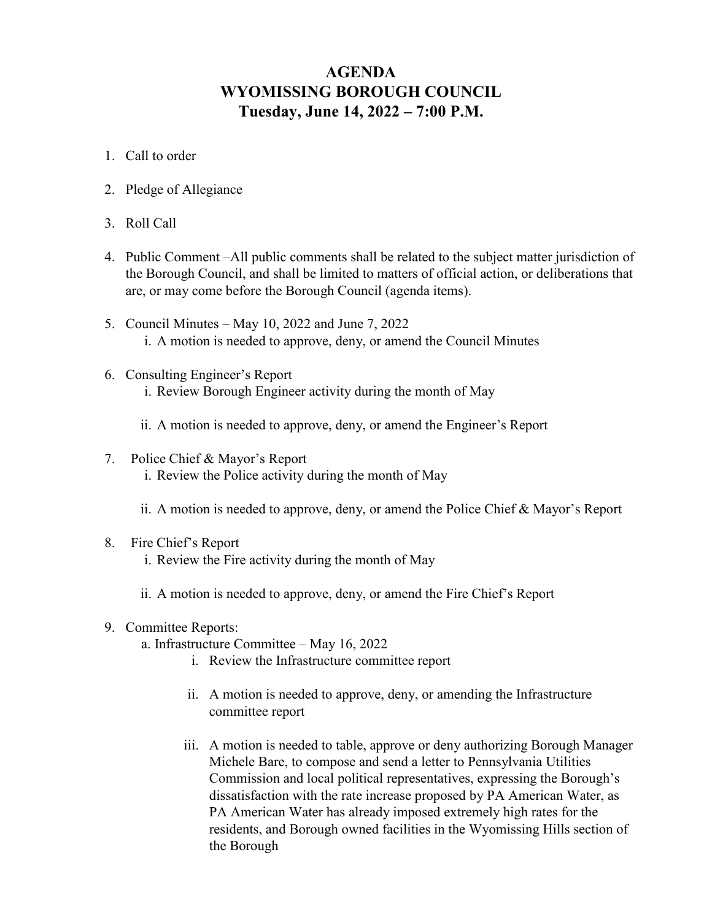## **AGENDA WYOMISSING BOROUGH COUNCIL Tuesday, June 14, 2022 – 7:00 P.M.**

- 1. Call to order
- 2. Pledge of Allegiance
- 3. Roll Call
- 4. Public Comment –All public comments shall be related to the subject matter jurisdiction of the Borough Council, and shall be limited to matters of official action, or deliberations that are, or may come before the Borough Council (agenda items).
- 5. Council Minutes May 10, 2022 and June 7, 2022 i. A motion is needed to approve, deny, or amend the Council Minutes
- 6. Consulting Engineer's Report i. Review Borough Engineer activity during the month of May
	- ii. A motion is needed to approve, deny, or amend the Engineer's Report
- 7. Police Chief & Mayor's Report i. Review the Police activity during the month of May
	- ii. A motion is needed to approve, deny, or amend the Police Chief & Mayor's Report
- 8. Fire Chief's Report
	- i. Review the Fire activity during the month of May
	- ii. A motion is needed to approve, deny, or amend the Fire Chief's Report
- 9. Committee Reports:
	- a. Infrastructure Committee May 16, 2022
		- i. Review the Infrastructure committee report
		- ii. A motion is needed to approve, deny, or amending the Infrastructure committee report
		- iii. A motion is needed to table, approve or deny authorizing Borough Manager Michele Bare, to compose and send a letter to Pennsylvania Utilities Commission and local political representatives, expressing the Borough's dissatisfaction with the rate increase proposed by PA American Water, as PA American Water has already imposed extremely high rates for the residents, and Borough owned facilities in the Wyomissing Hills section of the Borough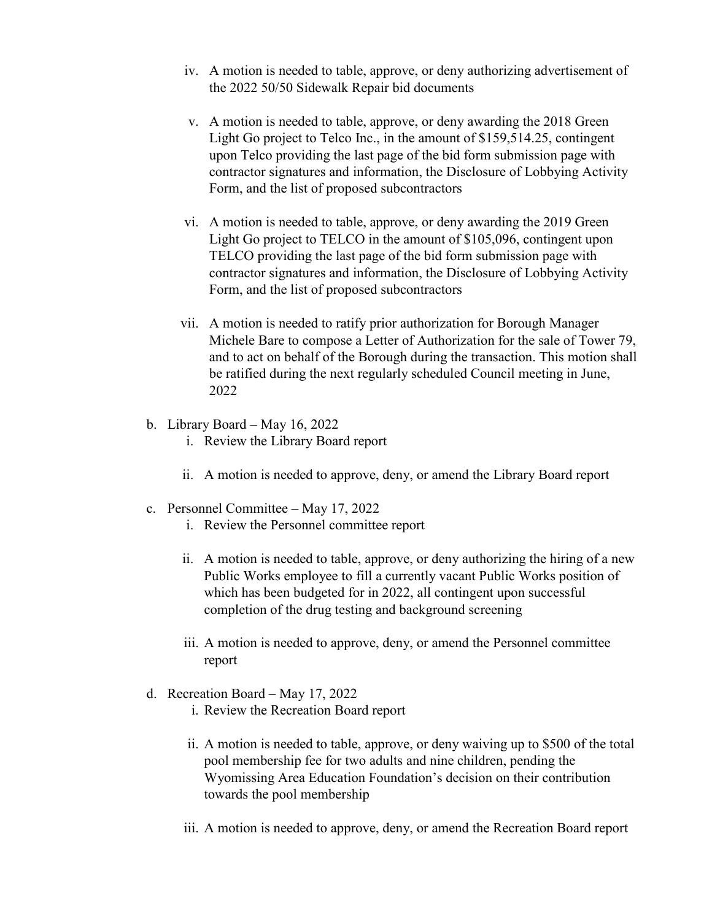- iv. A motion is needed to table, approve, or deny authorizing advertisement of the 2022 50/50 Sidewalk Repair bid documents
- v. A motion is needed to table, approve, or deny awarding the 2018 Green Light Go project to Telco Inc., in the amount of \$159,514.25, contingent upon Telco providing the last page of the bid form submission page with contractor signatures and information, the Disclosure of Lobbying Activity Form, and the list of proposed subcontractors
- vi. A motion is needed to table, approve, or deny awarding the 2019 Green Light Go project to TELCO in the amount of \$105,096, contingent upon TELCO providing the last page of the bid form submission page with contractor signatures and information, the Disclosure of Lobbying Activity Form, and the list of proposed subcontractors
- vii. A motion is needed to ratify prior authorization for Borough Manager Michele Bare to compose a Letter of Authorization for the sale of Tower 79, and to act on behalf of the Borough during the transaction. This motion shall be ratified during the next regularly scheduled Council meeting in June, 2022
- b. Library Board May 16, 2022
	- i. Review the Library Board report
	- ii. A motion is needed to approve, deny, or amend the Library Board report
- c. Personnel Committee May 17, 2022
	- i. Review the Personnel committee report
	- ii. A motion is needed to table, approve, or deny authorizing the hiring of a new Public Works employee to fill a currently vacant Public Works position of which has been budgeted for in 2022, all contingent upon successful completion of the drug testing and background screening
	- iii. A motion is needed to approve, deny, or amend the Personnel committee report
- d. Recreation Board May 17, 2022
	- i. Review the Recreation Board report
	- ii. A motion is needed to table, approve, or deny waiving up to \$500 of the total pool membership fee for two adults and nine children, pending the Wyomissing Area Education Foundation's decision on their contribution towards the pool membership
	- iii. A motion is needed to approve, deny, or amend the Recreation Board report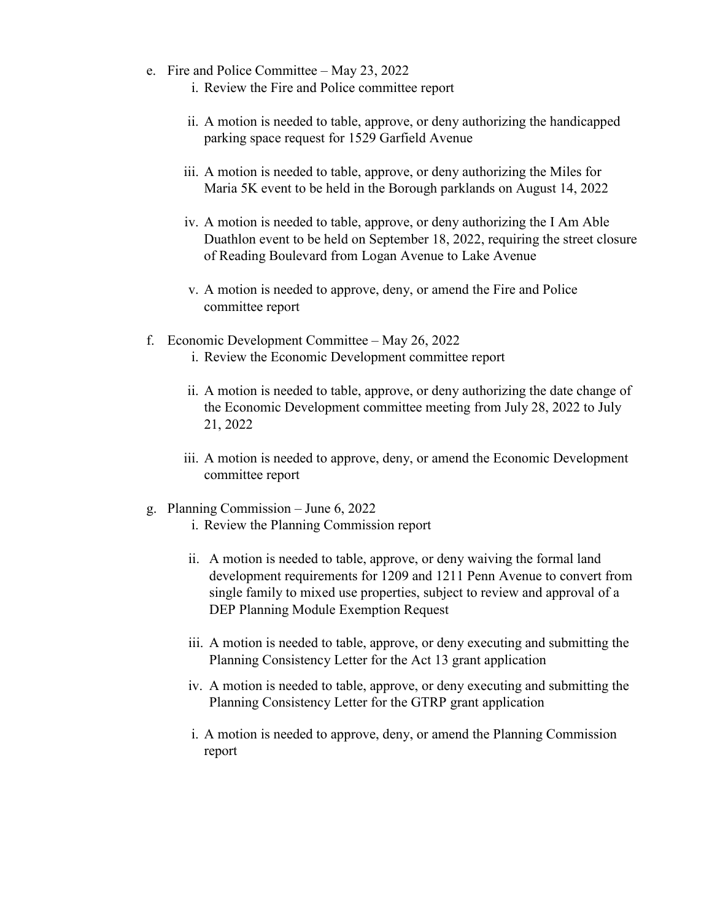- e. Fire and Police Committee May 23, 2022
	- i. Review the Fire and Police committee report
	- ii. A motion is needed to table, approve, or deny authorizing the handicapped parking space request for 1529 Garfield Avenue
	- iii. A motion is needed to table, approve, or deny authorizing the Miles for Maria 5K event to be held in the Borough parklands on August 14, 2022
	- iv. A motion is needed to table, approve, or deny authorizing the I Am Able Duathlon event to be held on September 18, 2022, requiring the street closure of Reading Boulevard from Logan Avenue to Lake Avenue
	- v. A motion is needed to approve, deny, or amend the Fire and Police committee report
- f. Economic Development Committee May 26, 2022
	- i. Review the Economic Development committee report
	- ii. A motion is needed to table, approve, or deny authorizing the date change of the Economic Development committee meeting from July 28, 2022 to July 21, 2022
	- iii. A motion is needed to approve, deny, or amend the Economic Development committee report
- g. Planning Commission June 6, 2022
	- i. Review the Planning Commission report
	- ii. A motion is needed to table, approve, or deny waiving the formal land development requirements for 1209 and 1211 Penn Avenue to convert from single family to mixed use properties, subject to review and approval of a DEP Planning Module Exemption Request
	- iii. A motion is needed to table, approve, or deny executing and submitting the Planning Consistency Letter for the Act 13 grant application
	- iv. A motion is needed to table, approve, or deny executing and submitting the Planning Consistency Letter for the GTRP grant application
	- i. A motion is needed to approve, deny, or amend the Planning Commission report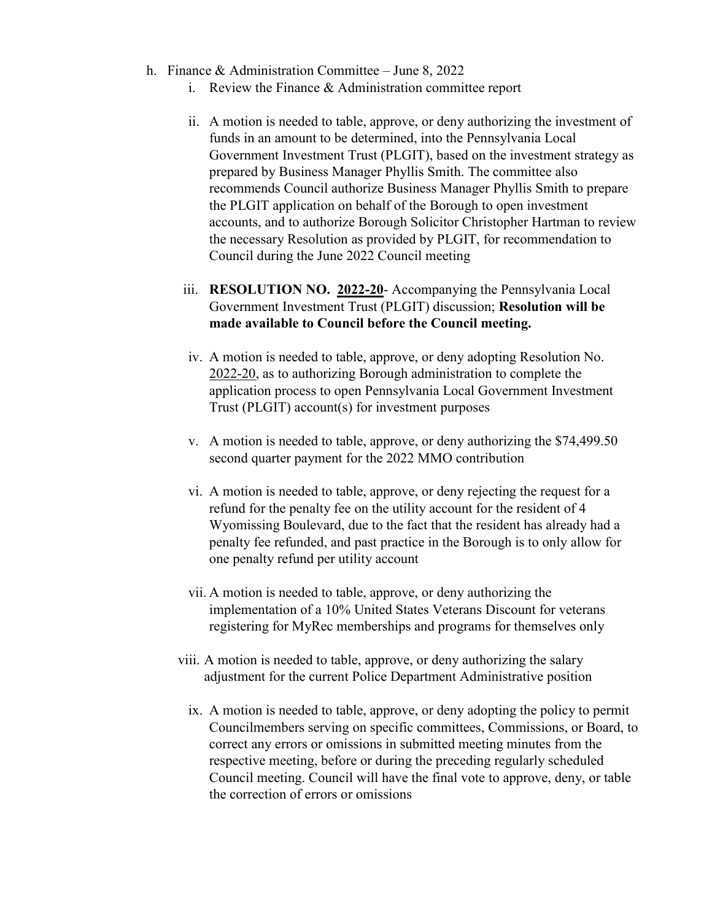- h. Finance & Administration Committee June 8, 2022
	- i. Review the Finance & Administration committee report
	- ii. A motion is needed to table, approve, or deny authorizing the investment of funds in an amount to be determined, into the Pennsylvania Local Government Investment Trust (PLGIT), based on the investment strategy as prepared by Business Manager Phyllis Smith. The committee also recommends Council authorize Business Manager Phyllis Smith to prepare the PLGIT application on behalf of the Borough to open investment accounts, and to authorize Borough Solicitor Christopher Hartman to review the necessary Resolution as provided by PLGIT, for recommendation to Council during the June 2022 Council meeting
	- iii. **RESOLUTION NO. 2022-20** Accompanying the Pennsylvania Local Government Investment Trust (PLGIT) discussion; **Resolution will be made available to Council before the Council meeting.**
	- iv. A motion is needed to table, approve, or deny adopting Resolution No. 2022-20, as to authorizing Borough administration to complete the application process to open Pennsylvania Local Government Investment Trust (PLGIT) account(s) for investment purposes
	- v. A motion is needed to table, approve, or deny authorizing the \$74,499.50 second quarter payment for the 2022 MMO contribution
	- vi. A motion is needed to table, approve, or deny rejecting the request for a refund for the penalty fee on the utility account for the resident of 4 Wyomissing Boulevard, due to the fact that the resident has already had a penalty fee refunded, and past practice in the Borough is to only allow for one penalty refund per utility account
	- vii. A motion is needed to table, approve, or deny authorizing the implementation of a 10% United States Veterans Discount for veterans registering for MyRec memberships and programs for themselves only
	- viii. A motion is needed to table, approve, or deny authorizing the salary adjustment for the current Police Department Administrative position
		- ix. A motion is needed to table, approve, or deny adopting the policy to permit Councilmembers serving on specific committees, Commissions, or Board, to correct any errors or omissions in submitted meeting minutes from the respective meeting, before or during the preceding regularly scheduled Council meeting. Council will have the final vote to approve, deny, or table the correction of errors or omissions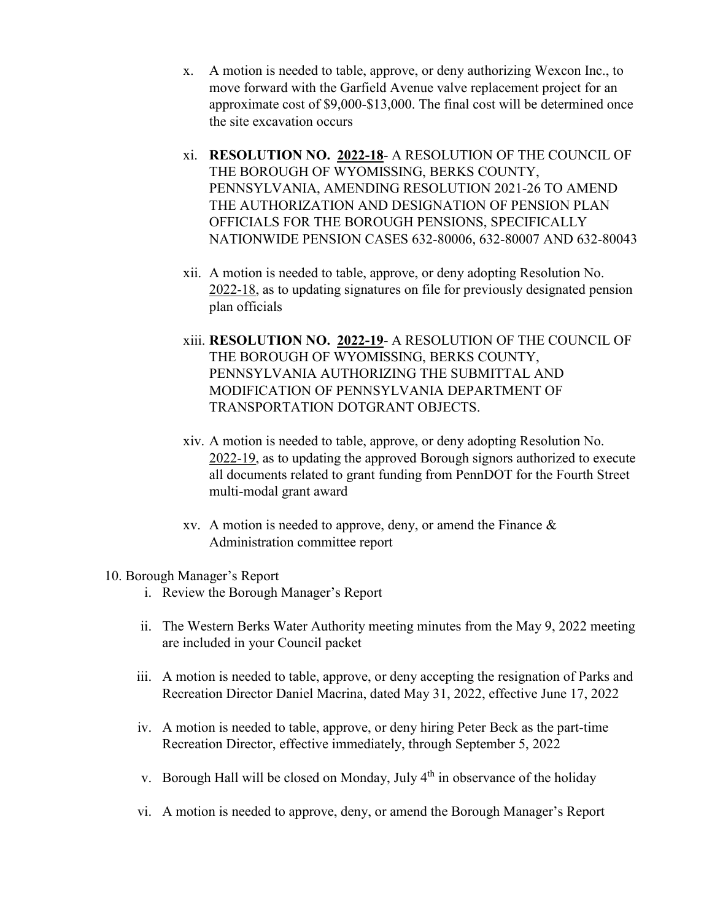- x. A motion is needed to table, approve, or deny authorizing Wexcon Inc., to move forward with the Garfield Avenue valve replacement project for an approximate cost of \$9,000-\$13,000. The final cost will be determined once the site excavation occurs
- xi. **RESOLUTION NO. 2022-18** A RESOLUTION OF THE COUNCIL OF THE BOROUGH OF WYOMISSING, BERKS COUNTY, PENNSYLVANIA, AMENDING RESOLUTION 2021-26 TO AMEND THE AUTHORIZATION AND DESIGNATION OF PENSION PLAN OFFICIALS FOR THE BOROUGH PENSIONS, SPECIFICALLY NATIONWIDE PENSION CASES 632-80006, 632-80007 AND 632-80043
- xii. A motion is needed to table, approve, or deny adopting Resolution No. 2022-18, as to updating signatures on file for previously designated pension plan officials
- xiii. **RESOLUTION NO. 2022-19** A RESOLUTION OF THE COUNCIL OF THE BOROUGH OF WYOMISSING, BERKS COUNTY, PENNSYLVANIA AUTHORIZING THE SUBMITTAL AND MODIFICATION OF PENNSYLVANIA DEPARTMENT OF TRANSPORTATION DOTGRANT OBJECTS.
- xiv. A motion is needed to table, approve, or deny adopting Resolution No. 2022-19, as to updating the approved Borough signors authorized to execute all documents related to grant funding from PennDOT for the Fourth Street multi-modal grant award
- xv. A motion is needed to approve, deny, or amend the Finance & Administration committee report

## 10. Borough Manager's Report

- i. Review the Borough Manager's Report
- ii. The Western Berks Water Authority meeting minutes from the May 9, 2022 meeting are included in your Council packet
- iii. A motion is needed to table, approve, or deny accepting the resignation of Parks and Recreation Director Daniel Macrina, dated May 31, 2022, effective June 17, 2022
- iv. A motion is needed to table, approve, or deny hiring Peter Beck as the part-time Recreation Director, effective immediately, through September 5, 2022
- v. Borough Hall will be closed on Monday, July  $4<sup>th</sup>$  in observance of the holiday
- vi. A motion is needed to approve, deny, or amend the Borough Manager's Report